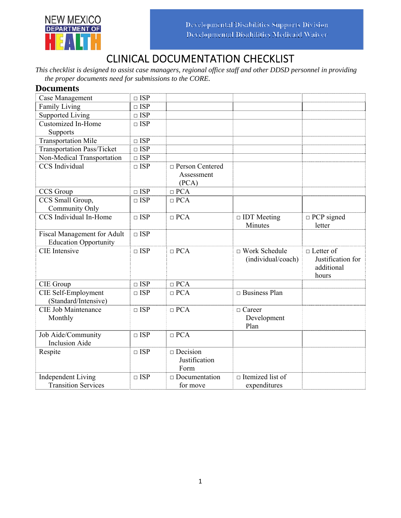

# CLINICAL DOCUMENTATION CHECKLIST

*This checklist is designed to assist case managers, regional office staff and other DDSD personnel in providing the proper documents need for submissions to the CORE.* 

#### **Documents**

| Case Management                                                    | $\Box$ ISP |                                          |                                            |                                                              |
|--------------------------------------------------------------------|------------|------------------------------------------|--------------------------------------------|--------------------------------------------------------------|
| <b>Family Living</b>                                               | $\Box$ ISP |                                          |                                            |                                                              |
| Supported Living                                                   | $\Box$ ISP |                                          |                                            |                                                              |
| <b>Customized In-Home</b>                                          | $\Box$ ISP |                                          |                                            |                                                              |
| Supports                                                           |            |                                          |                                            |                                                              |
| <b>Transportation Mile</b>                                         | $\Box$ ISP |                                          |                                            |                                                              |
| <b>Transportation Pass/Ticket</b>                                  | $\Box$ ISP |                                          |                                            |                                                              |
| Non-Medical Transportation                                         | $\Box$ ISP |                                          |                                            |                                                              |
| <b>CCS</b> Individual                                              | $\Box$ ISP | □ Person Centered<br>Assessment<br>(PCA) |                                            |                                                              |
| CCS Group                                                          | $\Box$ ISP | $\Box$ PCA                               |                                            |                                                              |
| CCS Small Group,<br>Community Only                                 | $\Box$ ISP | $\Box$ PCA                               |                                            |                                                              |
| CCS Individual In-Home                                             | $\Box$ ISP | $\Box$ PCA                               | $\Box$ IDT Meeting<br>Minutes              | $\Box$ PCP signed<br>letter                                  |
| <b>Fiscal Management for Adult</b><br><b>Education Opportunity</b> | $\Box$ ISP |                                          |                                            |                                                              |
| <b>CIE</b> Intensive                                               | $\Box$ ISP | $\Box$ PCA                               | $\Box$ Work Schedule<br>(individual/coach) | $\Box$ Letter of<br>Justification for<br>additional<br>hours |
| CIE Group                                                          | $\Box$ ISP | $\Box$ PCA                               |                                            |                                                              |
| CIE Self-Employment<br>(Standard/Intensive)                        | $\Box$ ISP | $\Box$ PCA                               | $\Box$ Business Plan                       |                                                              |
| <b>CIE Job Maintenance</b><br>Monthly                              | $\Box$ ISP | $\Box$ PCA                               | $\Box$ Career<br>Development<br>Plan       |                                                              |
| Job Aide/Community<br><b>Inclusion Aide</b>                        | $\Box$ ISP | $\Box$ PCA                               |                                            |                                                              |
| Respite                                                            | $\Box$ ISP | $\Box$ Decision<br>Justification<br>Form |                                            |                                                              |
| <b>Independent Living</b><br><b>Transition Services</b>            | $\Box$ ISP | $\Box$ Documentation<br>for move         | $\Box$ Itemized list of<br>expenditures    |                                                              |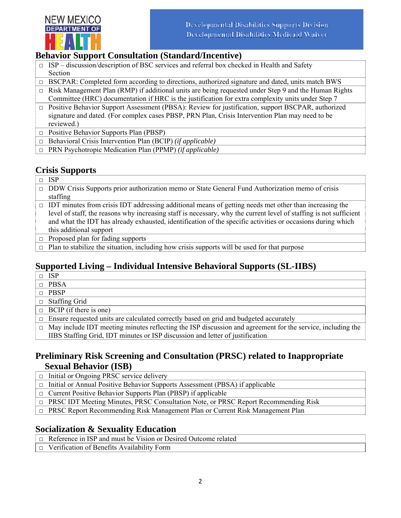

## **Behavior Support Consultation (Standard/Incentive)**

- $\Box$  ISP discussion/description of BSC services and referral box checked in Health and Safety Section
- □ BSCPAR: Completed form according to directions, authorized signature and dated, units match BWS  $\Box$  Risk Management Plan (RMP) if additional units are being requested under Step 9 and the Human Rights Committee (HRC) documentation if HRC is the justification for extra complexity units under Step 7
- $\Box$  Positive Behavior Support Assessment (PBSA): Review for justification, support BSCPAR, authorized signature and dated. (For complex cases PBSP, PRN Plan, Crisis Intervention Plan may need to be reviewed.)
- □ Positive Behavior Supports Plan (PBSP)
- □ Behavioral Crisis Intervention Plan (BCIP) *(if applicable)*
- □ PRN Psychotropic Medication Plan (PPMP) *(if applicable)*

## **Crisis Supports**

- □ ISP
- □ DDW Crisis Supports prior authorization memo or State General Fund Authorization memo of crisis staffing
- $\Box$  IDT minutes from crisis IDT addressing additional means of getting needs met other than increasing the level of staff, the reasons why increasing staff is necessary, why the current level of staffing is not sufficient and what the IDT has already exhausted, identification of the specific activities or occasions during which this additional support
- $\Box$  Proposed plan for fading supports
- $\Box$  Plan to stabilize the situation, including how crisis supports will be used for that purpose

## **Supported Living – Individual Intensive Behavioral Supports (SL-IIBS)**

- □ ISP
- □ PBSA
- □ PBSP
- □ Staffing Grid
- $\Box$  BCIP (if there is one)
- $\Box$  Ensure requested units are calculated correctly based on grid and budgeted accurately
- $\Box$  May include IDT meeting minutes reflecting the ISP discussion and agreement for the service, including the IIBS Staffing Grid, IDT minutes or ISP discussion and letter of justification

#### **Preliminary Risk Screening and Consultation (PRSC) related to Inappropriate Sexual Behavior (ISB)**

- $\Box$  Initial or Ongoing PRSC service delivery
- $\Box$  Initial or Annual Positive Behavior Supports Assessment (PBSA) if applicable
- □ Current Positive Behavior Supports Plan (PBSP) if applicable
- □ PRSC IDT Meeting Minutes, PRSC Consultation Note, or PRSC Report Recommending Risk
- □ PRSC Report Recommending Risk Management Plan or Current Risk Management Plan

## **Socialization & Sexuality Education**

- □ Reference in ISP and must be Vision or Desired Outcome related
- □ Verification of Benefits Availability Form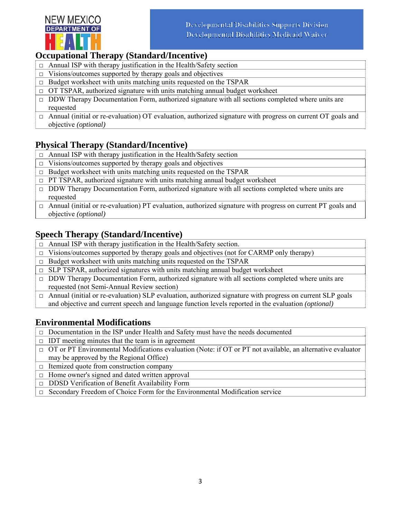

#### **Occupational Therapy (Standard/Incentive)**

- $\Box$  Annual ISP with therapy justification in the Health/Safety section
- $\Box$  Visions/outcomes supported by therapy goals and objectives
- $\Box$  Budget worksheet with units matching units requested on the TSPAR
- $\Box$  OT TSPAR, authorized signature with units matching annual budget worksheet
- $\Box$  DDW Therapy Documentation Form, authorized signature with all sections completed where units are requested
- $\Box$  Annual (initial or re-evaluation) OT evaluation, authorized signature with progress on current OT goals and objective *(optional)*

## **Physical Therapy (Standard/Incentive)**

- $\Box$  Annual ISP with therapy justification in the Health/Safety section
- $\Box$  Visions/outcomes supported by therapy goals and objectives
- $\Box$  Budget worksheet with units matching units requested on the TSPAR
- $\Box$  PT TSPAR, authorized signature with units matching annual budget worksheet
- $\Box$  DDW Therapy Documentation Form, authorized signature with all sections completed where units are requested
- □ Annual (initial or re-evaluation) PT evaluation, authorized signature with progress on current PT goals and objective *(optional)*

## **Speech Therapy (Standard/Incentive)**

- $\Box$  Annual ISP with therapy justification in the Health/Safety section.
- $\Box$  Visions/outcomes supported by therapy goals and objectives (not for CARMP only therapy)
- $\Box$  Budget worksheet with units matching units requested on the TSPAR
- $\Box$  SLP TSPAR, authorized signatures with units matching annual budget worksheet
- $\Box$  DDW Therapy Documentation Form, authorized signature with all sections completed where units are requested (not Semi-Annual Review section)
- □ Annual (initial or re-evaluation) SLP evaluation, authorized signature with progress on current SLP goals and objective and current speech and language function levels reported in the evaluation *(optional)*

## **Environmental Modifications**

- □ Documentation in the ISP under Health and Safety must have the needs documented
- $\Box$  IDT meeting minutes that the team is in agreement
- □ OT or PT Environmental Modifications evaluation (Note: if OT or PT not available, an alternative evaluator may be approved by the Regional Office)
- $\Box$  Itemized quote from construction company
- $\Box$  Home owner's signed and dated written approval
- □ DDSD Verification of Benefit Availability Form
- □ Secondary Freedom of Choice Form for the Environmental Modification service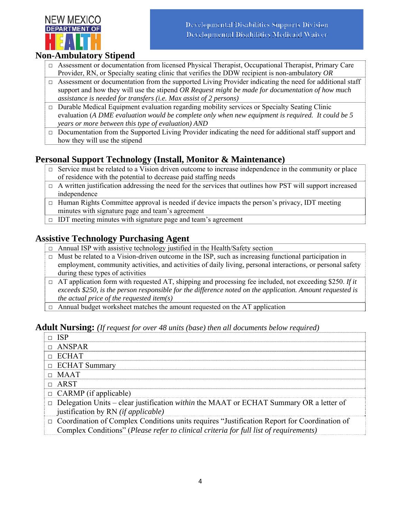

## **Non-Ambulatory Stipend**

- □ Assessment or documentation from licensed Physical Therapist, Occupational Therapist, Primary Care Provider, RN, or Specialty seating clinic that verifies the DDW recipient is non-ambulatory *OR*
- $\Box$  Assessment or documentation from the supported Living Provider indicating the need for additional staff support and how they will use the stipend *OR Request might be made for documentation of how much assistance is needed for transfers (i.e. Max assist of 2 persons)*
- $\Box$  Durable Medical Equipment evaluation regarding mobility services or Specialty Seating Clinic evaluation (*A DME evaluation would be complete only when new equipment is required. It could be 5 years or more between this type of evaluation) AND*
- $\Box$  Documentation from the Supported Living Provider indicating the need for additional staff support and how they will use the stipend

# **Personal Support Technology (Install, Monitor & Maintenance)**

- $\Box$  Service must be related to a Vision driven outcome to increase independence in the community or place of residence with the potential to decrease paid staffing needs
- $\Box$  A written justification addressing the need for the services that outlines how PST will support increased independence
- $\Box$  Human Rights Committee approval is needed if device impacts the person's privacy, IDT meeting minutes with signature page and team's agreement
- $\Box$  IDT meeting minutes with signature page and team's agreement

## **Assistive Technology Purchasing Agent**

- $\Box$  Annual ISP with assistive technology justified in the Health/Safety section
- $\Box$  Must be related to a Vision-driven outcome in the ISP, such as increasing functional participation in employment, community activities, and activities of daily living, personal interactions, or personal safety during these types of activities
- $\Box$  AT application form with requested AT, shipping and processing fee included, not exceeding \$250. *If it exceeds \$250, is the person responsible for the difference noted on the application. Amount requested is the actual price of the requested item(s)*
- $\Box$  Annual budget worksheet matches the amount requested on the AT application

#### **Adult Nursing:** *(If request for over 48 units (base) then all documents below required)*

| $\Box$ ISP                                                                                                                                                                                  |
|---------------------------------------------------------------------------------------------------------------------------------------------------------------------------------------------|
| $\Box$ ANSPAR                                                                                                                                                                               |
| $\Box$ ECHAT                                                                                                                                                                                |
| $\Box$ ECHAT Summary                                                                                                                                                                        |
| $\Box$ MAAT                                                                                                                                                                                 |
| $\Box$ ARST                                                                                                                                                                                 |
| $\Box$ CARMP (if applicable)                                                                                                                                                                |
| $\Box$ Delegation Units – clear justification <i>within</i> the MAAT or ECHAT Summary OR a letter of<br>justification by RN ( <i>if applicable</i> )                                        |
| $\Box$ Coordination of Complex Conditions units requires "Justification Report for Coordination of<br>Complex Conditions" (Please refer to clinical criteria for full list of requirements) |